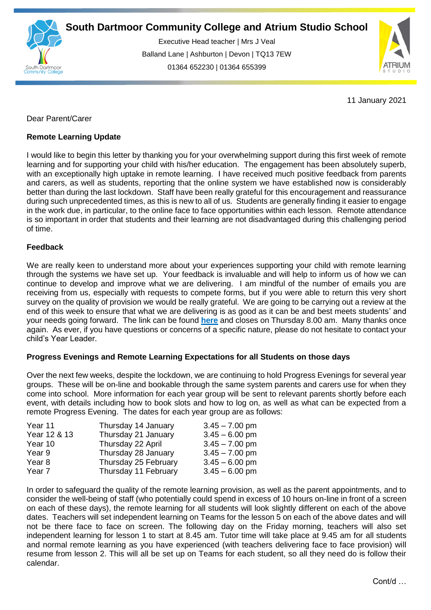

Executive Head teacher | Mrs J Veal Balland Lane | Ashburton | Devon | TQ13 7EW 01364 652230 | 01364 655399

ww.south.co.uk | [www.atrium-studio.co.uk](http://www.atrium-studio.co.uk/) | www.atrium-studio.co.uk



11 January 2021

## Dear Parent/Carer

## **Remote Learning Update**

I would like to begin this letter by thanking you for your overwhelming support during this first week of remote learning and for supporting your child with his/her education. The engagement has been absolutely superb, with an exceptionally high uptake in remote learning. I have received much positive feedback from parents and carers, as well as students, reporting that the online system we have established now is considerably better than during the last lockdown. Staff have been really grateful for this encouragement and reassurance during such unprecedented times, as this is new to all of us. Students are generally finding it easier to engage in the work due, in particular, to the online face to face opportunities within each lesson. Remote attendance is so important in order that students and their learning are not disadvantaged during this challenging period of time.

## **Feedback**

We are really keen to understand more about your experiences supporting your child with remote learning through the systems we have set up. Your feedback is invaluable and will help to inform us of how we can continue to develop and improve what we are delivering. I am mindful of the number of emails you are receiving from us, especially with requests to compete forms, but if you were able to return this very short survey on the quality of provision we would be really grateful. We are going to be carrying out a review at the end of this week to ensure that what we are delivering is as good as it can be and best meets students' and your needs going forward. The link can be found **[here](https://forms.office.com/Pages/ResponsePage.aspx?id=Yeyemmb7BU6cR6U6z4zv4nPT4ocieRVMnmPJuj7CVRFUQ1lORDVVT0IxVDQ0VktIUjNYWlAyUktDUC4u)** and closes on Thursday 8.00 am. Many thanks once again. As ever, if you have questions or concerns of a specific nature, please do not hesitate to contact your child's Year Leader.

## **Progress Evenings and Remote Learning Expectations for all Students on those days**

Over the next few weeks, despite the lockdown, we are continuing to hold Progress Evenings for several year groups. These will be on-line and bookable through the same system parents and carers use for when they come into school. More information for each year group will be sent to relevant parents shortly before each event, with details including how to book slots and how to log on, as well as what can be expected from a remote Progress Evening. The dates for each year group are as follows:

| Thursday 14 January  | $3.45 - 7.00$ pm |
|----------------------|------------------|
| Thursday 21 January  | $3.45 - 6.00$ pm |
| Thursday 22 April    | $3.45 - 7.00$ pm |
| Thursday 28 January  | $3.45 - 7.00$ pm |
| Thursday 25 February | $3.45 - 6.00$ pm |
| Thursday 11 February | $3.45 - 6.00$ pm |
|                      |                  |

In order to safeguard the quality of the remote learning provision, as well as the parent appointments, and to consider the well-being of staff (who potentially could spend in excess of 10 hours on-line in front of a screen on each of these days), the remote learning for all students will look slightly different on each of the above dates. Teachers will set independent learning on Teams for the lesson 5 on each of the above dates and will not be there face to face on screen. The following day on the Friday morning, teachers will also set independent learning for lesson 1 to start at 8.45 am. Tutor time will take place at 9.45 am for all students and normal remote learning as you have experienced (with teachers delivering face to face provision) will resume from lesson 2. This will all be set up on Teams for each student, so all they need do is follow their calendar.